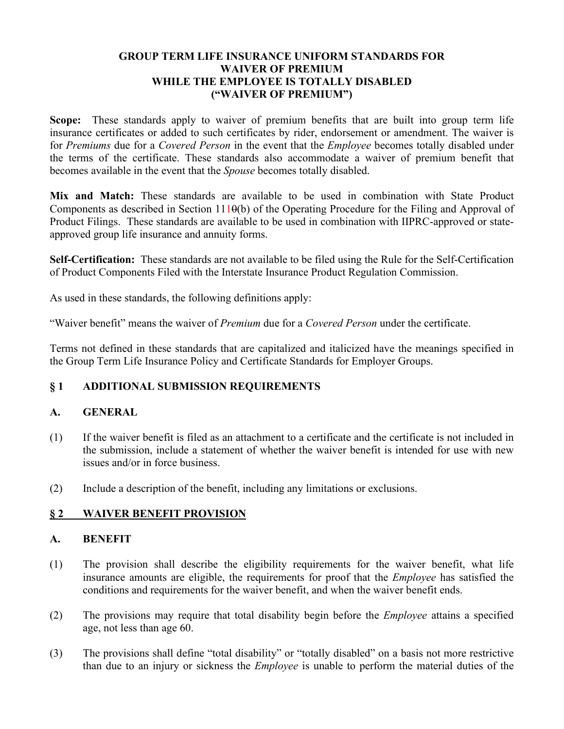### **GROUP TERM LIFE INSURANCE UNIFORM STANDARDS FOR WAIVER OF PREMIUM WHILE THE EMPLOYEE IS TOTALLY DISABLED ("WAIVER OF PREMIUM")**

**Scope:** These standards apply to waiver of premium benefits that are built into group term life insurance certificates or added to such certificates by rider, endorsement or amendment. The waiver is for *Premiums* due for a *Covered Person* in the event that the *Employee* becomes totally disabled under the terms of the certificate. These standards also accommodate a waiver of premium benefit that becomes available in the event that the *Spouse* becomes totally disabled.

**Mix and Match:** These standards are available to be used in combination with State Product Components as described in Section  $111\theta(b)$  of the Operating Procedure for the Filing and Approval of Product Filings. These standards are available to be used in combination with IIPRC-approved or stateapproved group life insurance and annuity forms.

**Self-Certification:** These standards are not available to be filed using the Rule for the Self-Certification of Product Components Filed with the Interstate Insurance Product Regulation Commission.

As used in these standards, the following definitions apply:

"Waiver benefit" means the waiver of *Premium* due for a *Covered Person* under the certificate.

Terms not defined in these standards that are capitalized and italicized have the meanings specified in the Group Term Life Insurance Policy and Certificate Standards for Employer Groups.

## **§ 1 ADDITIONAL SUBMISSION REQUIREMENTS**

### **A. GENERAL**

- (1) If the waiver benefit is filed as an attachment to a certificate and the certificate is not included in the submission, include a statement of whether the waiver benefit is intended for use with new issues and/or in force business.
- (2) Include a description of the benefit, including any limitations or exclusions.

## **§ 2 WAIVER BENEFIT PROVISION**

#### **A. BENEFIT**

- (1) The provision shall describe the eligibility requirements for the waiver benefit, what life insurance amounts are eligible, the requirements for proof that the *Employee* has satisfied the conditions and requirements for the waiver benefit, and when the waiver benefit ends.
- (2) The provisions may require that total disability begin before the *Employee* attains a specified age, not less than age 60.
- (3) The provisions shall define "total disability" or "totally disabled" on a basis not more restrictive than due to an injury or sickness the *Employee* is unable to perform the material duties of the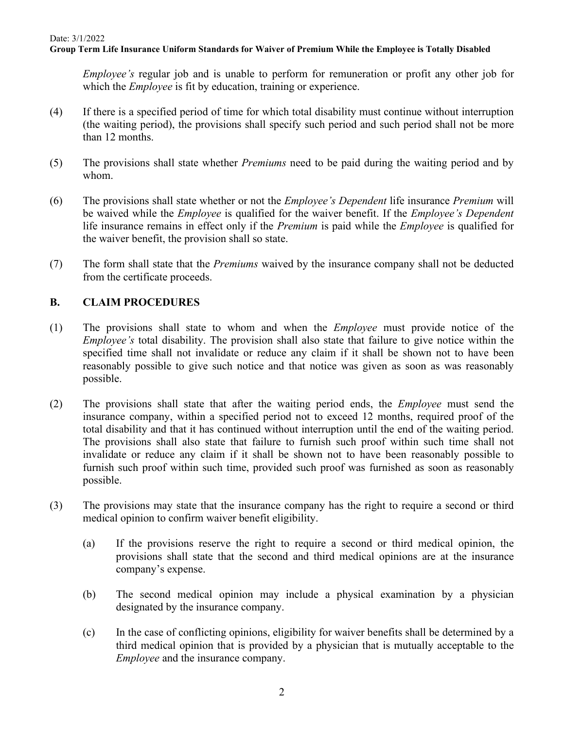### **Group Term Life Insurance Uniform Standards for Waiver of Premium While the Employee is Totally Disabled**

*Employee's* regular job and is unable to perform for remuneration or profit any other job for which the *Employee* is fit by education, training or experience.

- (4) If there is a specified period of time for which total disability must continue without interruption (the waiting period), the provisions shall specify such period and such period shall not be more than 12 months.
- (5) The provisions shall state whether *Premiums* need to be paid during the waiting period and by whom.
- (6) The provisions shall state whether or not the *Employee's Dependent* life insurance *Premium* will be waived while the *Employee* is qualified for the waiver benefit. If the *Employee's Dependent* life insurance remains in effect only if the *Premium* is paid while the *Employee* is qualified for the waiver benefit, the provision shall so state.
- (7) The form shall state that the *Premiums* waived by the insurance company shall not be deducted from the certificate proceeds.

## **B. CLAIM PROCEDURES**

- (1) The provisions shall state to whom and when the *Employee* must provide notice of the *Employee's* total disability. The provision shall also state that failure to give notice within the specified time shall not invalidate or reduce any claim if it shall be shown not to have been reasonably possible to give such notice and that notice was given as soon as was reasonably possible.
- (2) The provisions shall state that after the waiting period ends, the *Employee* must send the insurance company, within a specified period not to exceed 12 months, required proof of the total disability and that it has continued without interruption until the end of the waiting period. The provisions shall also state that failure to furnish such proof within such time shall not invalidate or reduce any claim if it shall be shown not to have been reasonably possible to furnish such proof within such time, provided such proof was furnished as soon as reasonably possible.
- (3) The provisions may state that the insurance company has the right to require a second or third medical opinion to confirm waiver benefit eligibility.
	- (a) If the provisions reserve the right to require a second or third medical opinion, the provisions shall state that the second and third medical opinions are at the insurance company's expense.
	- (b) The second medical opinion may include a physical examination by a physician designated by the insurance company.
	- (c) In the case of conflicting opinions, eligibility for waiver benefits shall be determined by a third medical opinion that is provided by a physician that is mutually acceptable to the *Employee* and the insurance company.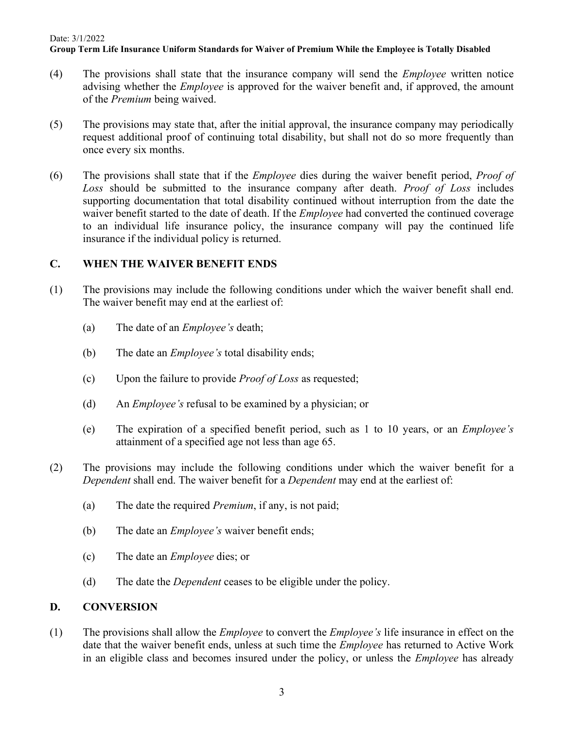## Date: 3/1/2022 **Group Term Life Insurance Uniform Standards for Waiver of Premium While the Employee is Totally Disabled**

- (4) The provisions shall state that the insurance company will send the *Employee* written notice advising whether the *Employee* is approved for the waiver benefit and, if approved, the amount of the *Premium* being waived.
- (5) The provisions may state that, after the initial approval, the insurance company may periodically request additional proof of continuing total disability, but shall not do so more frequently than once every six months.
- (6) The provisions shall state that if the *Employee* dies during the waiver benefit period, *Proof of Loss* should be submitted to the insurance company after death. *Proof of Loss* includes supporting documentation that total disability continued without interruption from the date the waiver benefit started to the date of death. If the *Employee* had converted the continued coverage to an individual life insurance policy, the insurance company will pay the continued life insurance if the individual policy is returned.

## **C. WHEN THE WAIVER BENEFIT ENDS**

- (1) The provisions may include the following conditions under which the waiver benefit shall end. The waiver benefit may end at the earliest of:
	- (a) The date of an *Employee's* death;
	- (b) The date an *Employee's* total disability ends;
	- (c) Upon the failure to provide *Proof of Loss* as requested;
	- (d) An *Employee's* refusal to be examined by a physician; or
	- (e) The expiration of a specified benefit period, such as 1 to 10 years, or an *Employee's* attainment of a specified age not less than age 65.
- (2) The provisions may include the following conditions under which the waiver benefit for a *Dependent* shall end. The waiver benefit for a *Dependent* may end at the earliest of:
	- (a) The date the required *Premium*, if any, is not paid;
	- (b) The date an *Employee's* waiver benefit ends;
	- (c) The date an *Employee* dies; or
	- (d) The date the *Dependent* ceases to be eligible under the policy.

# **D. CONVERSION**

(1) The provisions shall allow the *Employee* to convert the *Employee's* life insurance in effect on the date that the waiver benefit ends, unless at such time the *Employee* has returned to Active Work in an eligible class and becomes insured under the policy, or unless the *Employee* has already